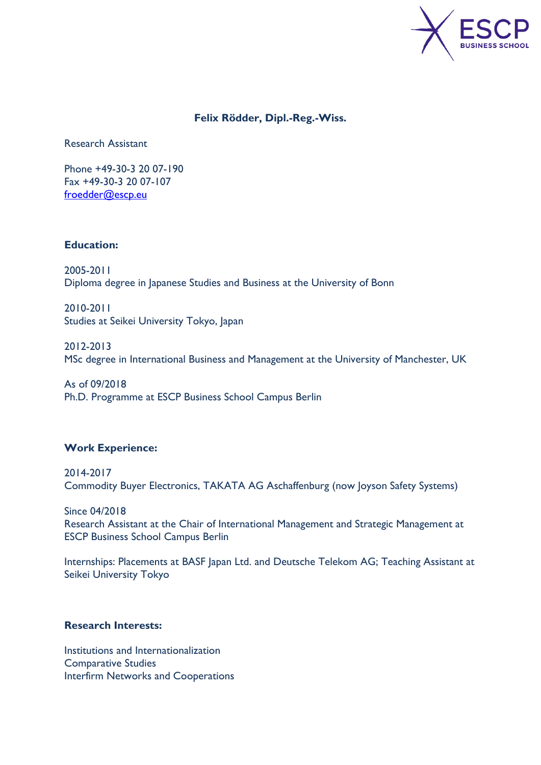

# **[Felix Rödder, Dipl.-Reg.-Wiss.](http://www.escpeurope.eu/campus/escp-europe-campus-berlin/lehrstuehle-escpeurope-campus-berlin/international-and-strategic-management/teamundkontakt/research-assistants-international-management-and-strategic-management-escp-europe/felix-roedder/)**

Research Assistant

Phone +49-30-3 20 07-190 Fax +49-30-3 20 07-107 [froedder@escp.eu](mailto:froedder@escp.eu)

# **Education:**

2005-2011 Diploma degree in Japanese Studies and Business at the University of Bonn

2010-2011 Studies at Seikei University Tokyo, Japan

2012-2013 MSc degree in International Business and Management at the University of Manchester, UK

As of 09/2018 Ph.D. Programme at ESCP Business School Campus Berlin

## **Work Experience:**

2014-2017 Commodity Buyer Electronics, TAKATA AG Aschaffenburg (now Joyson Safety Systems)

Since 04/2018 Research Assistant at the Chair of International Management and Strategic Management at ESCP Business School Campus Berlin

Internships: Placements at BASF Japan Ltd. and Deutsche Telekom AG; Teaching Assistant at Seikei University Tokyo

## **Research Interests:**

Institutions and Internationalization Comparative Studies Interfirm Networks and Cooperations